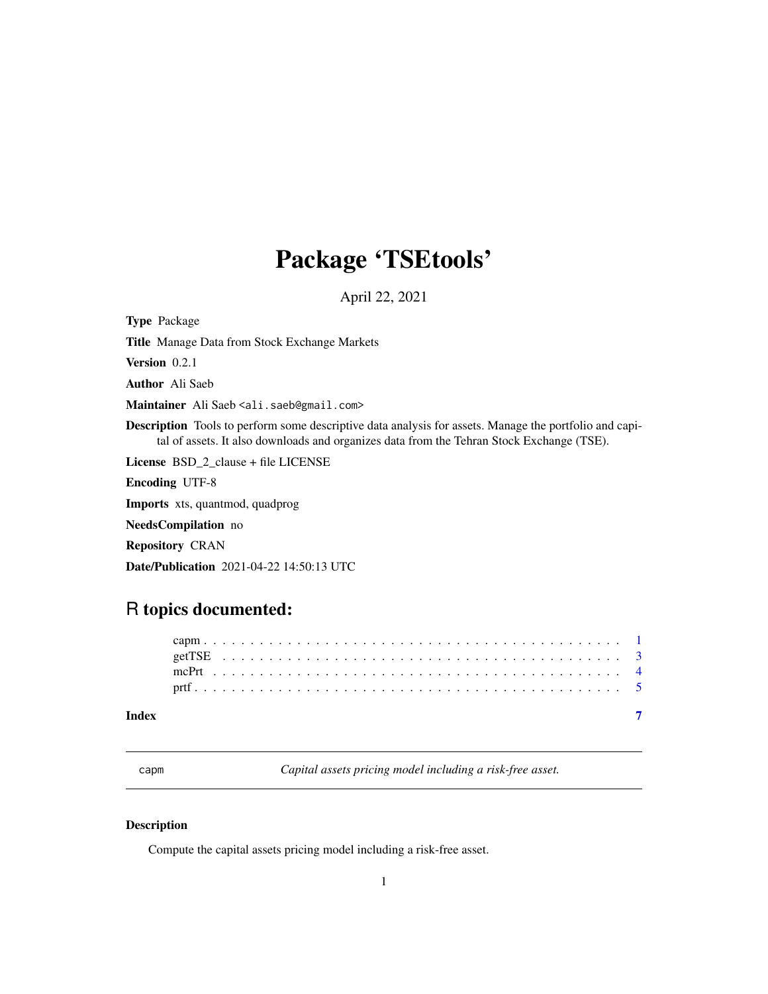# <span id="page-0-0"></span>Package 'TSEtools'

April 22, 2021

Type Package

Title Manage Data from Stock Exchange Markets

Version 0.2.1

Author Ali Saeb

Maintainer Ali Saeb <ali.saeb@gmail.com>

Description Tools to perform some descriptive data analysis for assets. Manage the portfolio and capital of assets. It also downloads and organizes data from the Tehran Stock Exchange (TSE).

License BSD\_2\_clause + file LICENSE

Encoding UTF-8

Imports xts, quantmod, quadprog

NeedsCompilation no

Repository CRAN

Date/Publication 2021-04-22 14:50:13 UTC

## R topics documented:

capm *Capital assets pricing model including a risk-free asset.*

#### Description

Compute the capital assets pricing model including a risk-free asset.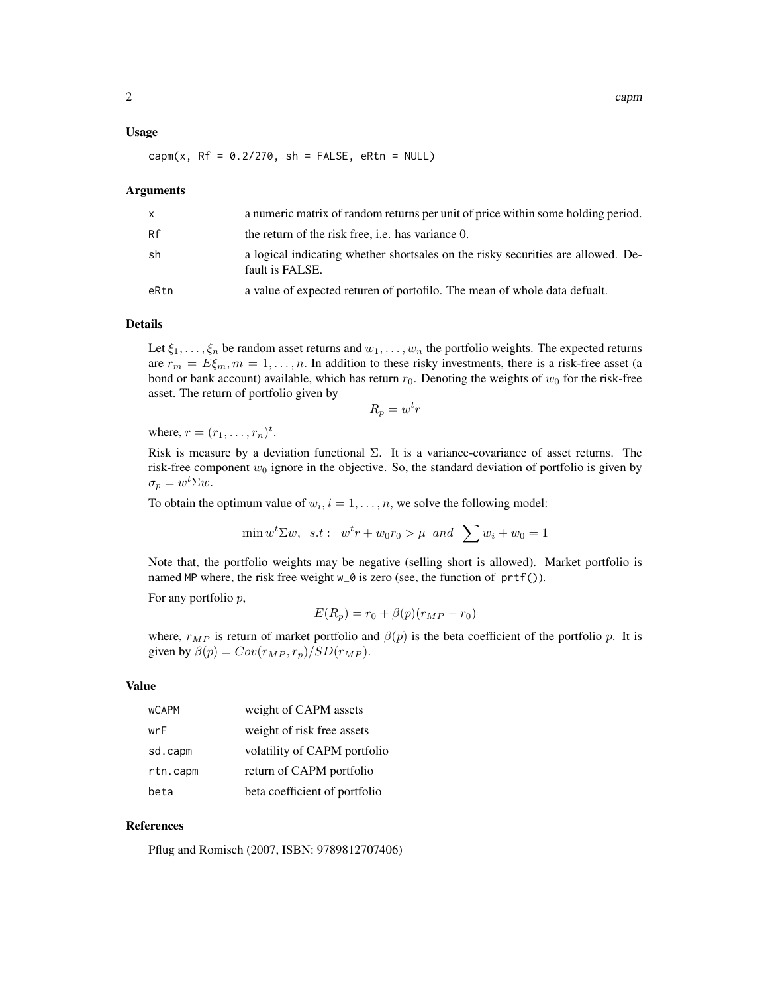#### Usage

$$
camp(x, RF = 0.2/270, sh = FALSE, eRtn = NULL)
$$

#### **Arguments**

| X    | a numeric matrix of random returns per unit of price within some holding period.                    |
|------|-----------------------------------------------------------------------------------------------------|
| Rf   | the return of the risk free, <i>i.e.</i> has variance 0.                                            |
| sh   | a logical indicating whether shortsales on the risky securities are allowed. De-<br>fault is FALSE. |
| eRtn | a value of expected returen of portofilo. The mean of whole data defualt.                           |

#### Details

Let  $\xi_1, \ldots, \xi_n$  be random asset returns and  $w_1, \ldots, w_n$  the portfolio weights. The expected returns are  $r_m = E\xi_m$ ,  $m = 1, \ldots, n$ . In addition to these risky investments, there is a risk-free asset (a bond or bank account) available, which has return  $r_0$ . Denoting the weights of  $w_0$  for the risk-free asset. The return of portfolio given by

$$
R_p = w^t r
$$

where,  $r = (r_1, \ldots, r_n)^t$ .

Risk is measure by a deviation functional  $\Sigma$ . It is a variance-covariance of asset returns. The risk-free component  $w_0$  ignore in the objective. So, the standard deviation of portfolio is given by  $\sigma_p = w^t \Sigma w.$ 

To obtain the optimum value of  $w_i$ ,  $i = 1, \ldots, n$ , we solve the following model:

$$
\min w^t \Sigma w, \quad s.t: \quad w^t r + w_0 r_0 > \mu \quad and \quad \sum w_i + w_0 = 1
$$

Note that, the portfolio weights may be negative (selling short is allowed). Market portfolio is named MP where, the risk free weight w\_0 is zero (see, the function of prtf()).

For any portfolio p,

$$
E(R_p) = r_0 + \beta(p)(r_{MP} - r_0)
$$

where,  $r_{MP}$  is return of market portfolio and  $\beta(p)$  is the beta coefficient of the portfolio p. It is given by  $\beta(p) = Cov(r_{MP}, r_p)/SD(r_{MP})$ .

#### Value

| <b>WCAPM</b> | weight of CAPM assets         |
|--------------|-------------------------------|
| wrF          | weight of risk free assets    |
| sd.capm      | volatility of CAPM portfolio  |
| rtn.capm     | return of CAPM portfolio      |
| beta         | beta coefficient of portfolio |

#### References

Pflug and Romisch (2007, ISBN: 9789812707406)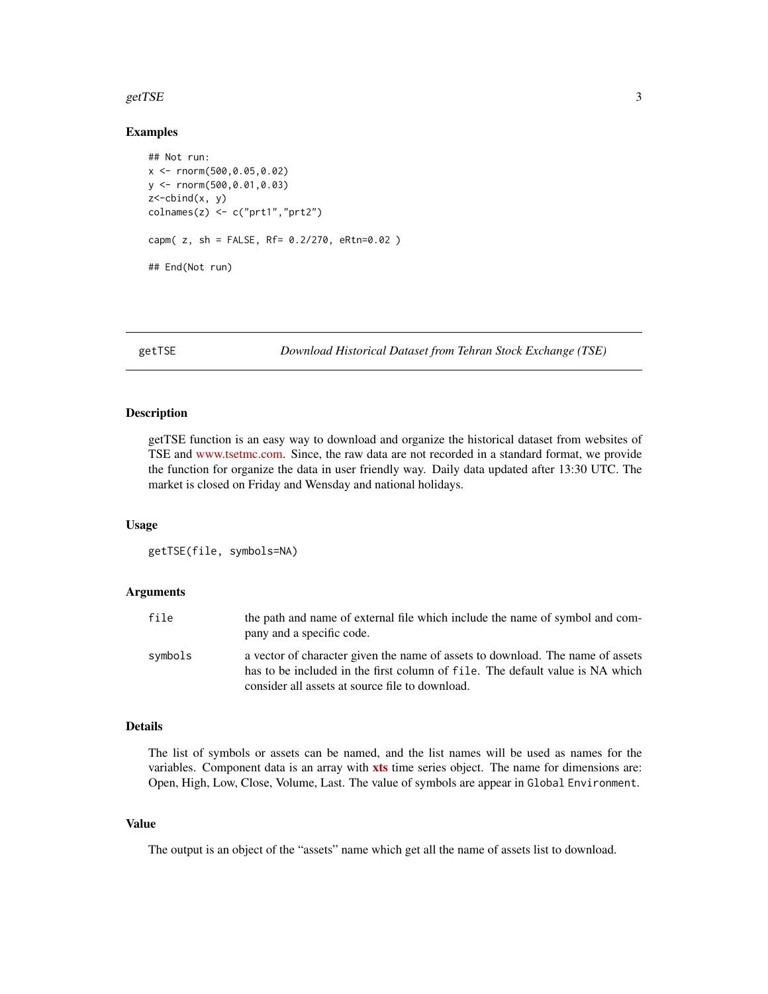#### <span id="page-2-0"></span>getTSE  $\overline{S}$  3

#### Examples

```
## Not run:
x <- rnorm(500,0.05,0.02)
y <- rnorm(500,0.01,0.03)
z<-cbind(x, y)
colnames(z) <- c("prt1","prt2")
capm( z, sh = FALSE, Rf= 0.2/270, eRtn=0.02 )
## End(Not run)
```
getTSE *Download Historical Dataset from Tehran Stock Exchange (TSE)*

#### Description

getTSE function is an easy way to download and organize the historical dataset from websites of TSE and [www.tsetmc.com.](http://www.tsetmc.com/Loader.aspx?ParTree=15) Since, the raw data are not recorded in a standard format, we provide the function for organize the data in user friendly way. Daily data updated after 13:30 UTC. The market is closed on Friday and Wensday and national holidays.

#### Usage

getTSE(file, symbols=NA)

#### Arguments

| file    | the path and name of external file which include the name of symbol and com-<br>pany and a specific code.                                                       |
|---------|-----------------------------------------------------------------------------------------------------------------------------------------------------------------|
| symbols | a vector of character given the name of assets to download. The name of assets<br>has to be included in the first column of file. The default value is NA which |
|         | consider all assets at source file to download.                                                                                                                 |

#### Details

The list of symbols or assets can be named, and the list names will be used as names for the variables. Component data is an array with **[xts](https://CRAN.R-project.org/package=xts)** time series object. The name for dimensions are: Open, High, Low, Close, Volume, Last. The value of symbols are appear in Global Environment.

#### Value

The output is an object of the "assets" name which get all the name of assets list to download.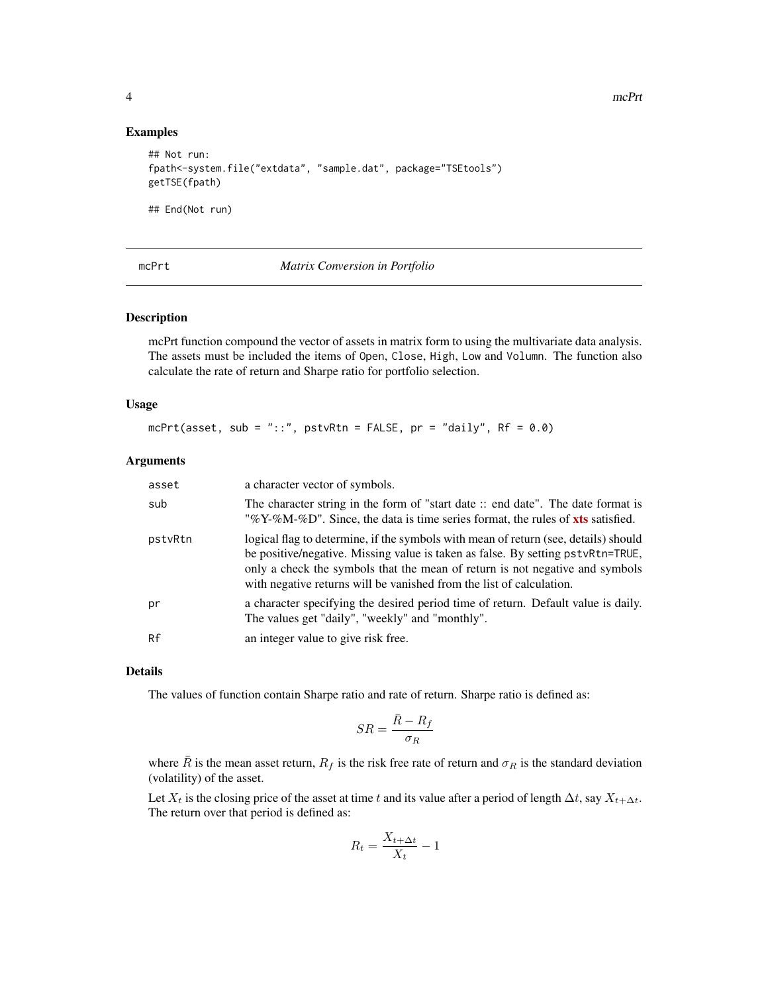#### Examples

```
## Not run:
fpath<-system.file("extdata", "sample.dat", package="TSEtools")
getTSE(fpath)
```
## End(Not run)

mcPrt *Matrix Conversion in Portfolio*

#### Description

mcPrt function compound the vector of assets in matrix form to using the multivariate data analysis. The assets must be included the items of Open, Close, High, Low and Volumn. The function also calculate the rate of return and Sharpe ratio for portfolio selection.

#### Usage

```
mcPrt(asset, sub = "::", pstvRtn = FALSE, pr = "daily", Rf = 0.0)
```
#### Arguments

| asset   | a character vector of symbols.                                                                                                                                                                                                                                                                                                 |
|---------|--------------------------------------------------------------------------------------------------------------------------------------------------------------------------------------------------------------------------------------------------------------------------------------------------------------------------------|
| sub     | The character string in the form of "start date": end date". The date format is<br>"%Y-%M-%D". Since, the data is time series format, the rules of xts satisfied.                                                                                                                                                              |
| pstvRtn | logical flag to determine, if the symbols with mean of return (see, details) should<br>be positive/negative. Missing value is taken as false. By setting pstvRtn=TRUE,<br>only a check the symbols that the mean of return is not negative and symbols<br>with negative returns will be vanished from the list of calculation. |
| pr      | a character specifying the desired period time of return. Default value is daily.<br>The values get "daily", "weekly" and "monthly".                                                                                                                                                                                           |
| Rf      | an integer value to give risk free.                                                                                                                                                                                                                                                                                            |

#### Details

The values of function contain Sharpe ratio and rate of return. Sharpe ratio is defined as:

$$
SR = \frac{\bar{R}-R_f}{\sigma_R}
$$

where  $\bar{R}$  is the mean asset return,  $R_f$  is the risk free rate of return and  $\sigma_R$  is the standard deviation (volatility) of the asset.

Let  $X_t$  is the closing price of the asset at time t and its value after a period of length  $\Delta t$ , say  $X_{t+\Delta t}$ . The return over that period is defined as:

$$
R_t = \frac{X_{t + \Delta t}}{X_t} - 1
$$

<span id="page-3-0"></span>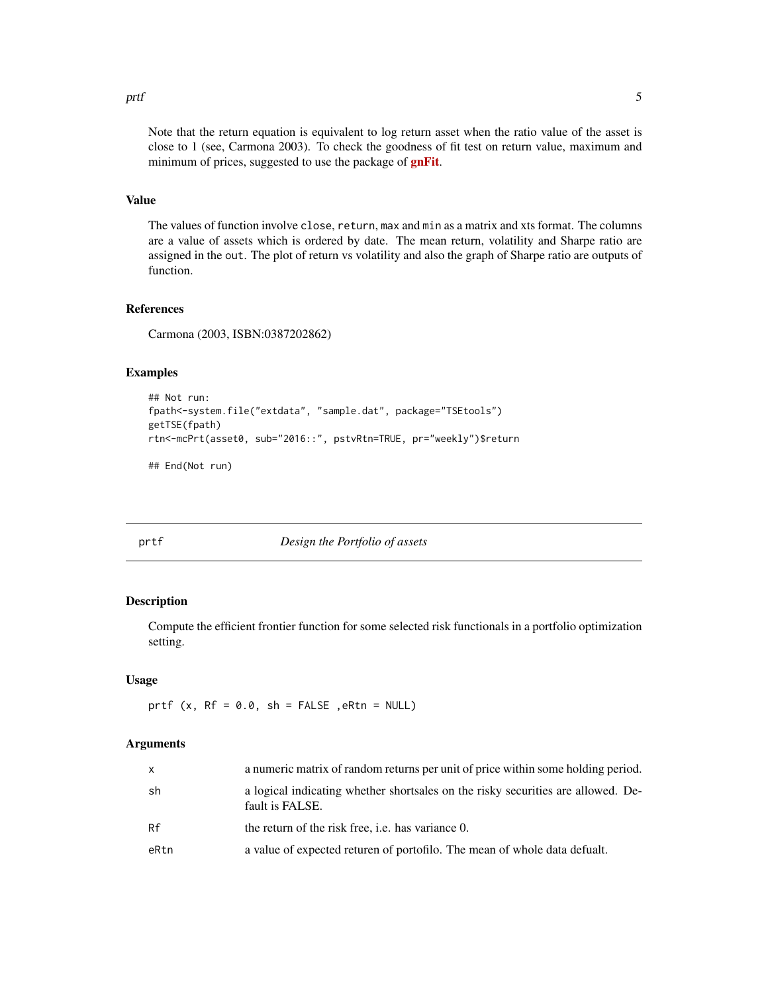#### <span id="page-4-0"></span>prtf 5

Note that the return equation is equivalent to log return asset when the ratio value of the asset is close to 1 (see, Carmona 2003). To check the goodness of fit test on return value, maximum and minimum of prices, suggested to use the package of **[gnFit](https://CRAN.R-project.org/package=gnFit)**.

### Value

The values of function involve close, return, max and min as a matrix and xts format. The columns are a value of assets which is ordered by date. The mean return, volatility and Sharpe ratio are assigned in the out. The plot of return vs volatility and also the graph of Sharpe ratio are outputs of function.

#### References

Carmona (2003, ISBN:0387202862)

#### Examples

```
## Not run:
fpath<-system.file("extdata", "sample.dat", package="TSEtools")
getTSE(fpath)
rtn<-mcPrt(asset0, sub="2016::", pstvRtn=TRUE, pr="weekly")$return
```
## End(Not run)

#### prtf *Design the Portfolio of assets*

#### Description

Compute the efficient frontier function for some selected risk functionals in a portfolio optimization setting.

#### Usage

prtf  $(x, Rf = 0.0, sh = FALSE$ ,  $eRtn = NULL)$ 

#### Arguments

| X    | a numeric matrix of random returns per unit of price within some holding period.                    |
|------|-----------------------------------------------------------------------------------------------------|
| sh   | a logical indicating whether shortsales on the risky securities are allowed. De-<br>fault is FALSE. |
| Rf   | the return of the risk free, <i>i.e.</i> has variance 0.                                            |
| eRtn | a value of expected returen of portofilo. The mean of whole data defualt.                           |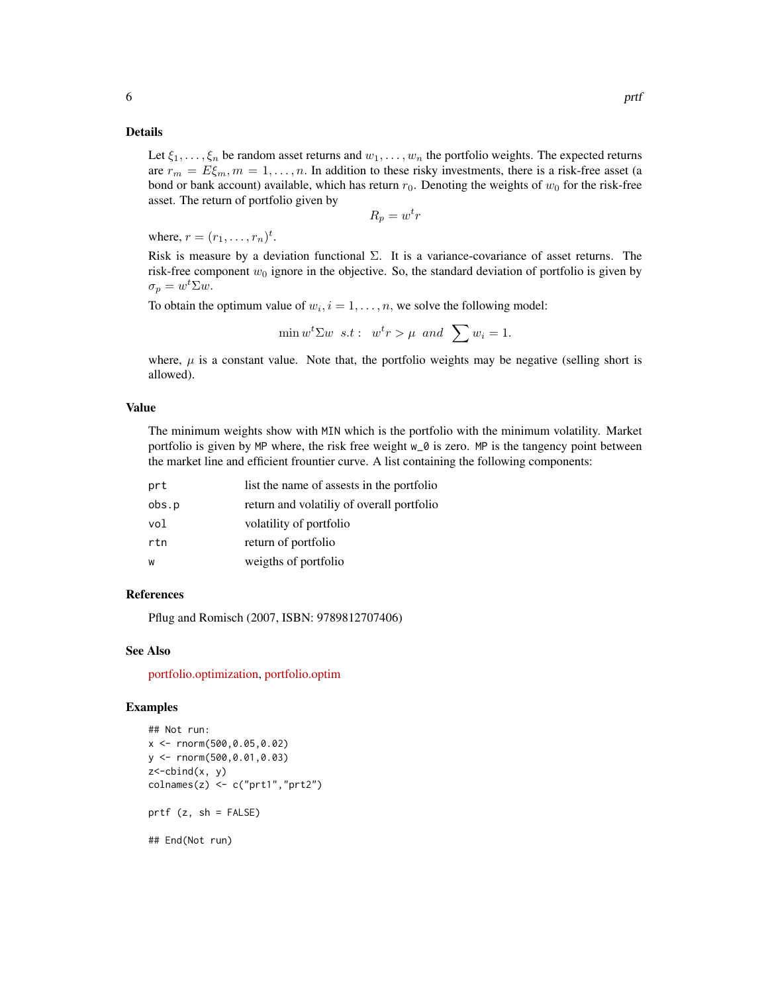#### Details

Let  $\xi_1, \ldots, \xi_n$  be random asset returns and  $w_1, \ldots, w_n$  the portfolio weights. The expected returns are  $r_m = E\xi_m$ ,  $m = 1, \ldots, n$ . In addition to these risky investments, there is a risk-free asset (a bond or bank account) available, which has return  $r_0$ . Denoting the weights of  $w_0$  for the risk-free asset. The return of portfolio given by

 $R_p = w^t r$ 

where,  $r = (r_1, \ldots, r_n)^t$ .

Risk is measure by a deviation functional  $\Sigma$ . It is a variance-covariance of asset returns. The risk-free component  $w_0$  ignore in the objective. So, the standard deviation of portfolio is given by  $\sigma_p = w^t \Sigma w.$ 

To obtain the optimum value of  $w_i$ ,  $i = 1, \ldots, n$ , we solve the following model:

$$
\min w^t \Sigma w \ s.t: \ w^t r > \mu \ and \ \sum w_i = 1.
$$

where,  $\mu$  is a constant value. Note that, the portfolio weights may be negative (selling short is allowed).

#### Value

The minimum weights show with MIN which is the portfolio with the minimum volatility. Market portfolio is given by MP where, the risk free weight w\_0 is zero. MP is the tangency point between the market line and efficient frountier curve. A list containing the following components:

| prt   | list the name of assests in the portfolio |
|-------|-------------------------------------------|
| obs.p | return and volatiliy of overall portfolio |
| vol   | volatility of portfolio                   |
| rtn   | return of portfolio                       |
| W     | weigths of portfolio                      |

#### References

Pflug and Romisch (2007, ISBN: 9789812707406)

#### See Also

[portfolio.optimization,](https://CRAN.R-project.org/package=portfolio.optimization) [portfolio.optim](https://CRAN.R-project.org/package=tseries)

#### Examples

```
## Not run:
x <- rnorm(500,0.05,0.02)
y <- rnorm(500,0.01,0.03)
z <-cbind(x, y)
colnames(z) <- c("prt1","prt2")
prtf (z, sh = FALSE)
```
## End(Not run)